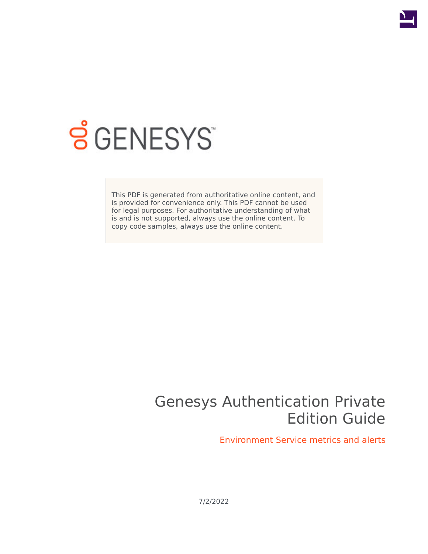

# **SGENESYS**

This PDF is generated from authoritative online content, and is provided for convenience only. This PDF cannot be used for legal purposes. For authoritative understanding of what is and is not supported, always use the online content. To copy code samples, always use the online content.

## Genesys Authentication Private Edition Guide

Environment Service metrics and alerts

7/2/2022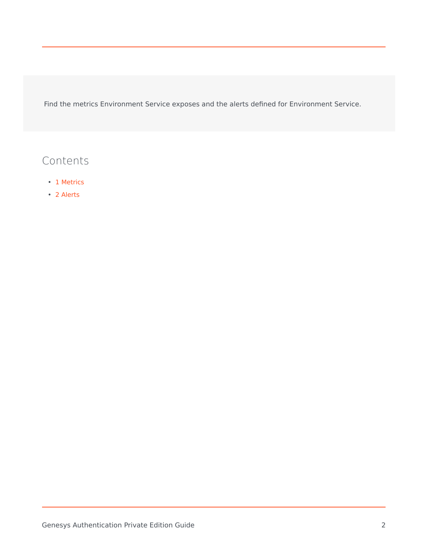Find the metrics Environment Service exposes and the alerts defined for Environment Service.

### Contents

- 1 [Metrics](#page-2-0)
- 2 [Alerts](#page-2-1)